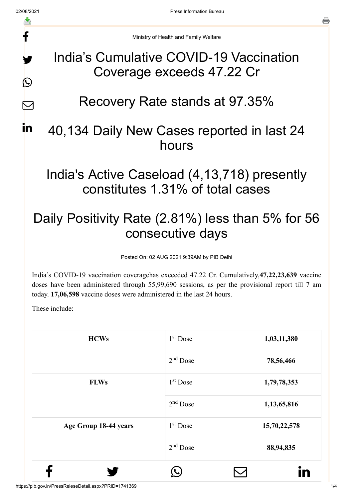f

y.

 $\bigcirc$ 

 $\nabla$ 

in.

Ministry of Health and Family Welfare

### India's Cumulative COVID-19 Vaccination Coverage exceeds 47.22 Cr

# Recovery Rate stands at 97.35%

## 40,134 Daily New Cases reported in last 24 hours

## India's Active Caseload (4,13,718) presently constitutes 1.31% of total cases

# Daily Positivity Rate (2.81%) less than 5% for 56 consecutive days

Posted On: 02 AUG 2021 9:39AM by PIB Delhi

India's COVID-19 vaccination coveragehas exceeded 47.22 Cr. Cumulatively,**47,22,23,639** vaccine doses have been administered through 55,99,690 sessions, as per the provisional report till 7 am today. **17,06,598** vaccine doses were administered in the last 24 hours.

These include:

| <b>HCWs</b>           | 1 <sup>st</sup> Dose | 1,03,11,380  |
|-----------------------|----------------------|--------------|
|                       | $2nd$ Dose           | 78,56,466    |
| <b>FLWs</b>           | $1st$ Dose           | 1,79,78,353  |
|                       | $2nd$ Dose           | 1,13,65,816  |
| Age Group 18-44 years | 1 <sup>st</sup> Dose | 15,70,22,578 |
|                       | $2nd$ Dose           | 88,94,835    |
|                       |                      | in           |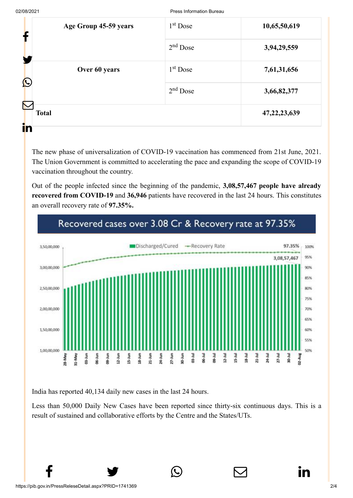| Age Group 45-59 years<br>Т           | $1st$ Dose | 10,65,50,619    |  |
|--------------------------------------|------------|-----------------|--|
|                                      | $2nd$ Dose | 3,94,29,559     |  |
| Over 60 years<br>$\mathbf{\Omega}$   | $1st$ Dose | 7,61,31,656     |  |
|                                      | $2nd$ Dose | 3,66,82,377     |  |
| $\blacktriangledown$<br><b>Total</b> |            | 47, 22, 23, 639 |  |
| in                                   |            |                 |  |

The new phase of universalization of COVID-19 vaccination has commenced from 21st June, 2021. The Union Government is committed to accelerating the pace and expanding the scope of COVID-19 vaccination throughout the country.

Out of the people infected since the beginning of the pandemic, **3,08,57,467 people have already recovered from COVID-19** and **36,946** patients have recovered in the last 24 hours. This constitutes an overall recovery rate of **97.35%.**



India has reported 40,134 daily new cases in the last 24 hours.

Less than 50,000 Daily New Cases have been reported since thirty-six continuous days. This is a result of sustained and collaborative efforts by the Centre and the States/UTs.

 $f \qquad \qquad \bullet \qquad \circledcirc \qquad \qquad \circledcirc$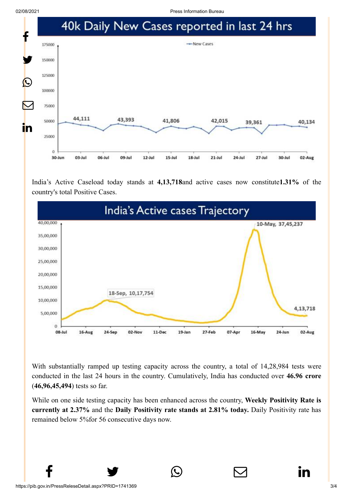02/08/2021 Press Information Bureau



India's Active Caseload today stands at **4,13,718**and active cases now constitute**1.31%** of the country's total Positive Cases.



With substantially ramped up testing capacity across the country, a total of 14,28,984 tests were conducted in the last 24 hours in the country. Cumulatively, India has conducted over **46.96 crore** (**46,96,45,494**) tests so far.

While on one side testing capacity has been enhanced across the country, **Weekly Positivity Rate is currently at 2.37%** and the **Daily Positivity rate stands at 2.81% today.** Daily Positivity rate has remained below 5%for 56 consecutive days now.

 $f \qquad \qquad \bullet \qquad \circlearrowright \qquad \qquad \circlearrowright \qquad \qquad \bullet$